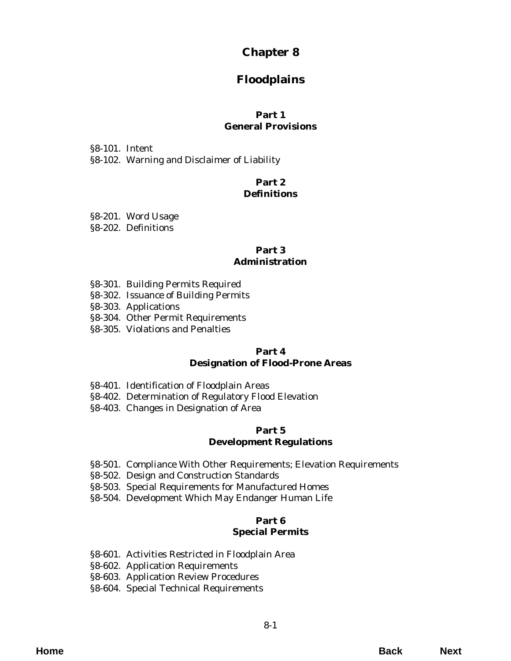# **Chapter 8**

# **Floodplains**

## **Part 1 General Provisions**

§8-101. Intent [§8-102. Warning and Disclaimer of Liability](#page-2-0)

### **Part 2 Definitions**

[§8-201. Word Usage](#page-4-0)

§8-202. Definitions

## **Part 3 Administration**

- §8-301. Building Permits Required
- [§8-302. Issuance of Building Permits](#page-6-0)
- §8-303. Applications
- [§8-304. Other Permit Requirements](#page-7-0)
- [§8-305. Violations and Penalties](#page-8-0)

#### **Part 4 Designation of Flood-Prone Areas**

- §8-401. Identification of Floodplain Areas
- [§8-402. Determination of Regulatory Flood Elevation](#page-10-0)
- §8-403. Changes in Designation of Area

#### **Part 5 Development Regulations**

- [§8-501. Compliance With Other Requirements; Elevation Requirements](#page-12-0)
- §8-502. Design and Construction Standards
- [§8-503. Special Requirements for Manufactured Homes](#page-14-0)
- [§8-504. Development Which May Endanger Human Life](#page-15-0)

## **Part 6 Special Permits**

- [§8-601. Activities Restricted in Floodplain Area](#page-18-0)
- §8-602. Application Requirements
- [§8-603. Application Review Procedures](#page-20-0)
- [§8-604. Special Technical Requirements](#page-21-0)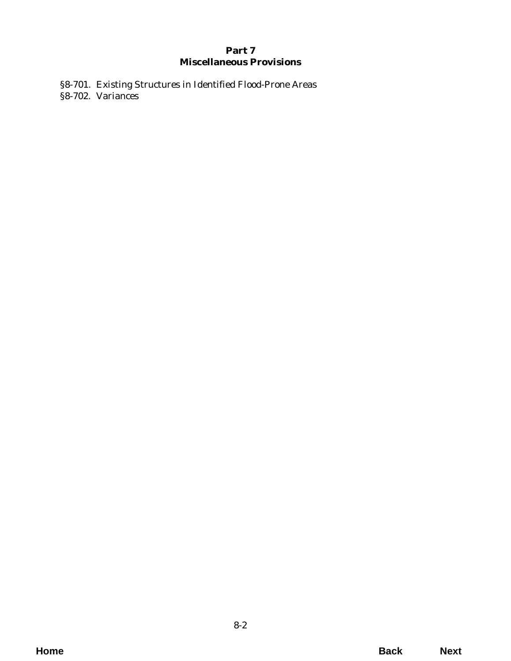## **Part 7 Miscellaneous Provisions**

[§8-701. Existing Structures in Identified Flood-Prone Areas](#page-22-0) §8-702. Variances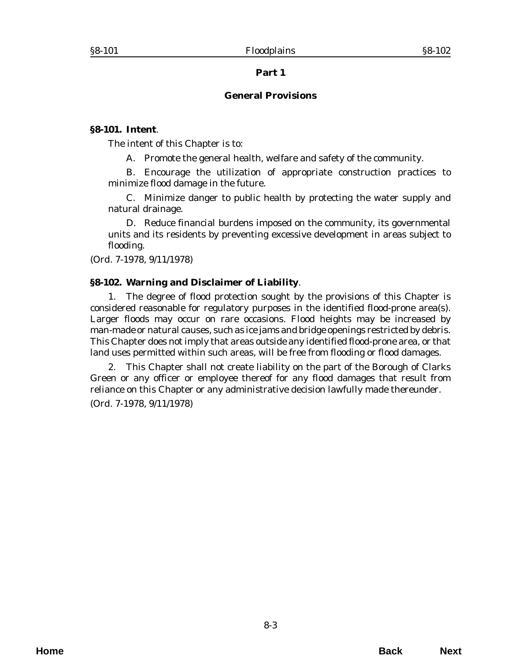### **General Provisions**

#### <span id="page-2-0"></span>**§8-101. Intent**.

The intent of this Chapter is to:

A. Promote the general health, welfare and safety of the community.

B. Encourage the utilization of appropriate construction practices to minimize flood damage in the future.

C. Minimize danger to public health by protecting the water supply and natural drainage.

D. Reduce financial burdens imposed on the community, its governmental units and its residents by preventing excessive development in areas subject to flooding.

(*Ord. 7-1978*, 9/11/1978)

## **§8-102. Warning and Disclaimer of Liability**.

1. The degree of flood protection sought by the provisions of this Chapter is considered reasonable for regulatory purposes in the identified flood-prone area(s). Larger floods may occur on rare occasions. Flood heights may be increased by man-made or natural causes, such as ice jams and bridge openings restricted by debris. This Chapter does not imply that areas outside any identified flood-prone area, or that land uses permitted within such areas, will be free from flooding or flood damages.

2. This Chapter shall not create liability on the part of the Borough of Clarks Green or any officer or employee thereof for any flood damages that result from reliance on this Chapter or any administrative decision lawfully made thereunder.

(*Ord. 7-1978*, 9/11/1978)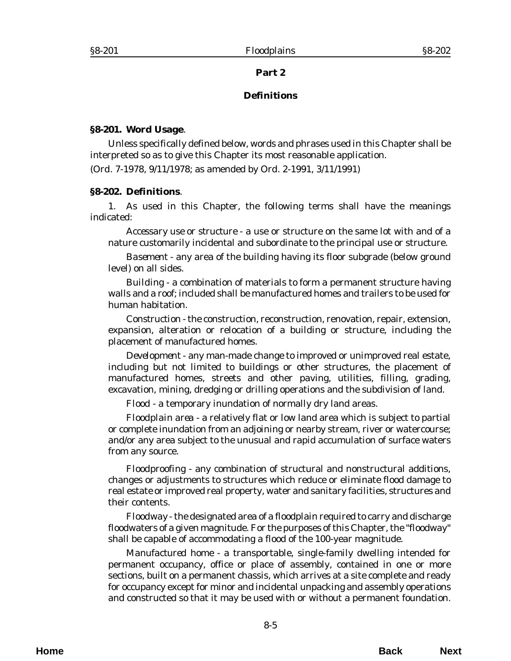#### **Definitions**

#### <span id="page-4-0"></span>**§8-201. Word Usage**.

Unless specifically defined below, words and phrases used in this Chapter shall be interpreted so as to give this Chapter its most reasonable application.

(*Ord. 7-1978*, 9/11/1978; as amended by *Ord. 2-1991*, 3/11/1991)

#### **§8-202. Definitions**.

1. As used in this Chapter, the following terms shall have the meanings indicated:

*Accessary use or structure* - a use or structure on the same lot with and of a nature customarily incidental and subordinate to the principal use or structure.

*Basement* - any area of the building having its floor subgrade (below ground level) on all sides.

*Building* - a combination of materials to form a permanent structure having walls and a roof; included shall be manufactured homes and trailers to be used for human habitation.

*Construction* - the construction, reconstruction, renovation, repair, extension, expansion, alteration or relocation of a building or structure, including the placement of manufactured homes.

*Development* - any man-made change to improved or unimproved real estate, including but not limited to buildings or other structures, the placement of manufactured homes, streets and other paving, utilities, filling, grading, excavation, mining, dredging or drilling operations and the subdivision of land.

*Flood* - a temporary inundation of normally dry land areas.

*Floodplain area* - a relatively flat or low land area which is subject to partial or complete inundation from an adjoining or nearby stream, river or watercourse; and/or any area subject to the unusual and rapid accumulation of surface waters from any source.

*Floodproofing* - any combination of structural and nonstructural additions, changes or adjustments to structures which reduce or eliminate flood damage to real estate or improved real property, water and sanitary facilities, structures and their contents.

*Floodway* - the designated area of a floodplain required to carry and discharge floodwaters of a given magnitude. For the purposes of this Chapter, the "floodway" shall be capable of accommodating a flood of the 100-year magnitude.

*Manufactured home* - a transportable, single-family dwelling intended for permanent occupancy, office or place of assembly, contained in one or more sections, built on a permanent chassis, which arrives at a site complete and ready for occupancy except for minor and incidental unpacking and assembly operations and constructed so that it may be used with or without a permanent foundation.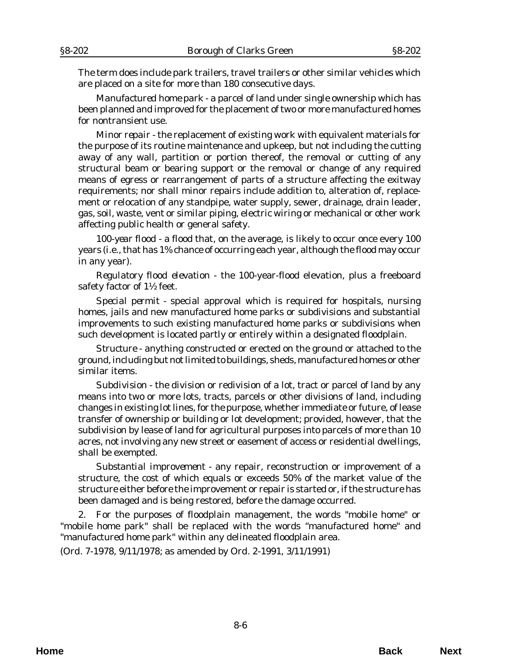The term does include park trailers, travel trailers or other similar vehicles which are placed on a site for more than 180 consecutive days.

*Manufactured home park* - a parcel of land under single ownership which has been planned and improved for the placement of two or more manufactured homes for nontransient use.

*Minor repair* - the replacement of existing work with equivalent materials for the purpose of its routine maintenance and upkeep, but not including the cutting away of any wall, partition or portion thereof, the removal or cutting of any structural beam or bearing support or the removal or change of any required means of egress or rearrangement of parts of a structure affecting the exitway requirements; nor shall minor repairs include addition to, alteration of, replacement or relocation of any standpipe, water supply, sewer, drainage, drain leader, gas, soil, waste, vent or similar piping, electric wiring or mechanical or other work affecting public health or general safety.

*100-year flood* - a flood that, on the average, is likely to occur once every 100 years (i.e., that has 1% chance of occurring each year, although the flood may occur in any year).

*Regulatory flood elevation* - the 100-year-flood elevation, plus a freeboard safety factor of 1½ feet.

*Special permit* - special approval which is required for hospitals, nursing homes, jails and new manufactured home parks or subdivisions and substantial improvements to such existing manufactured home parks or subdivisions when such development is located partly or entirely within a designated floodplain.

*Structure* - anything constructed or erected on the ground or attached to the ground, including but not limited to buildings, sheds, manufactured homes or other similar items.

*Subdivision* - the division or redivision of a lot, tract or parcel of land by any means into two or more lots, tracts, parcels or other divisions of land, including changes in existing lot lines, for the purpose, whether immediate or future, of lease transfer of ownership or building or lot development; provided, however, that the subdivision by lease of land for agricultural purposes into parcels of more than 10 acres, not involving any new street or easement of access or residential dwellings, shall be exempted.

*Substantial improvement* - any repair, reconstruction or improvement of a structure, the cost of which equals or exceeds 50% of the market value of the structure either before the improvement or repair is started or, if the structure has been damaged and is being restored, before the damage occurred.

2. For the purposes of floodplain management, the words "mobile home" or "mobile home park" shall be replaced with the words "manufactured home" and "manufactured home park" within any delineated floodplain area.

(*Ord. 7-1978*, 9/11/1978; as amended by *Ord. 2-1991*, 3/11/1991)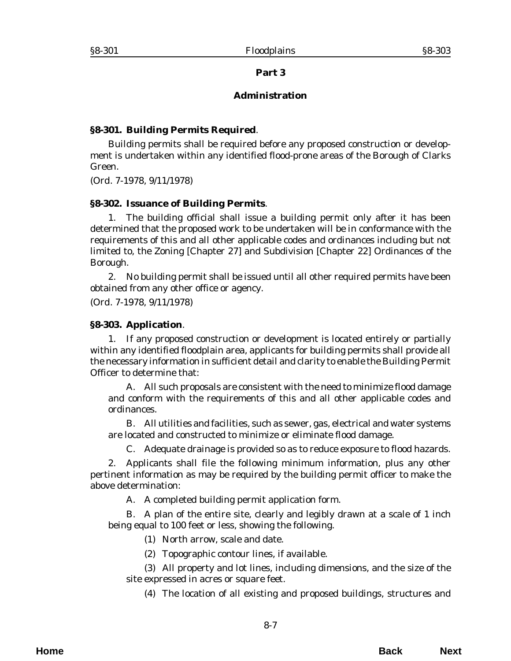### **Administration**

## <span id="page-6-0"></span>**§8-301. Building Permits Required**.

Building permits shall be required before any proposed construction or development is undertaken within any identified flood-prone areas of the Borough of Clarks Green.

(*Ord. 7-1978*, 9/11/1978)

#### **§8-302. Issuance of Building Permits**.

1. The building official shall issue a building permit only after it has been determined that the proposed work to be undertaken will be in conformance with the requirements of this and all other applicable codes and ordinances including but not limited to, the Zoning [Chapter 27] and Subdivision [Chapter 22] Ordinances of the Borough.

2. No building permit shall be issued until all other required permits have been obtained from any other office or agency.

(*Ord. 7-1978*, 9/11/1978)

#### **§8-303. Application**.

1. If any proposed construction or development is located entirely or partially within any identified floodplain area, applicants for building permits shall provide all the necessary information in sufficient detail and clarity to enable the Building Permit Officer to determine that:

A. All such proposals are consistent with the need to minimize flood damage and conform with the requirements of this and all other applicable codes and ordinances.

B. All utilities and facilities, such as sewer, gas, electrical and water systems are located and constructed to minimize or eliminate flood damage.

C. Adequate drainage is provided so as to reduce exposure to flood hazards.

2. Applicants shall file the following minimum information, plus any other pertinent information as may be required by the building permit officer to make the above determination:

A. A completed building permit application form.

B. A plan of the entire site, clearly and legibly drawn at a scale of 1 inch being equal to 100 feet or less, showing the following.

(1) North arrow, scale and date.

(2) Topographic contour lines, if available.

(3) All property and lot lines, including dimensions, and the size of the site expressed in acres or square feet.

(4) The location of all existing and proposed buildings, structures and

**Home Back Next**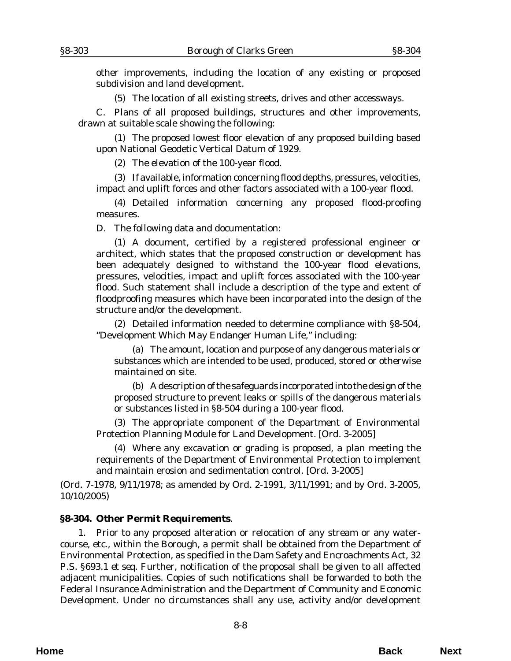<span id="page-7-0"></span>other improvements, including the location of any existing or proposed subdivision and land development.

(5) The location of all existing streets, drives and other accessways.

C. Plans of all proposed buildings, structures and other improvements, drawn at suitable scale showing the following:

(1) The proposed lowest floor elevation of any proposed building based upon National Geodetic Vertical Datum of 1929.

(2) The elevation of the 100-year flood.

(3) If available, information concerning flood depths, pressures, velocities, impact and uplift forces and other factors associated with a 100-year flood.

(4) Detailed information concerning any proposed flood-proofing measures.

D. The following data and documentation:

(1) A document, certified by a registered professional engineer or architect, which states that the proposed construction or development has been adequately designed to withstand the 100-year flood elevations, pressures, velocities, impact and uplift forces associated with the 100-year flood. Such statement shall include a description of the type and extent of floodproofing measures which have been incorporated into the design of the structure and/or the development.

(2) Detailed information needed to determine compliance with §8-504, "Development Which May Endanger Human Life," including:

(a) The amount, location and purpose of any dangerous materials or substances which are intended to be used, produced, stored or otherwise maintained on site.

(b) A description of the safeguards incorporated into the design of the proposed structure to prevent leaks or spills of the dangerous materials or substances listed in §8-504 during a 100-year flood.

(3) The appropriate component of the Department of Environmental Protection Planning Module for Land Development. [*Ord. 3-2005*]

(4) Where any excavation or grading is proposed, a plan meeting the requirements of the Department of Environmental Protection to implement and maintain erosion and sedimentation control. [*Ord. 3-2005*]

(*Ord. 7-1978*, 9/11/1978; as amended by *Ord. 2-1991*, 3/11/1991; and by *Ord. 3-2005*, 10/10/2005)

#### **§8-304. Other Permit Requirements**.

1. Prior to any proposed alteration or relocation of any stream or any watercourse, etc., within the Borough, a permit shall be obtained from the Department of Environmental Protection, as specified in the Dam Safety and Encroachments Act, 32 P.S. §693.1 *et seq*. Further, notification of the proposal shall be given to all affected adjacent municipalities. Copies of such notifications shall be forwarded to both the Federal Insurance Administration and the Department of Community and Economic Development. Under no circumstances shall any use, activity and/or development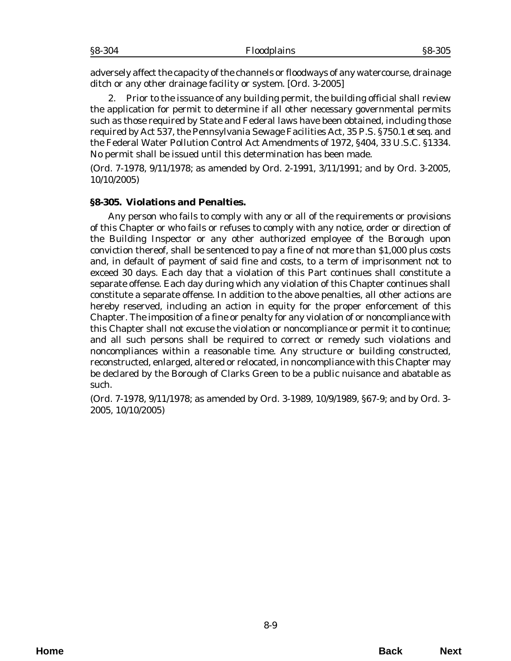<span id="page-8-0"></span>adversely affect the capacity of the channels or floodways of any watercourse, drainage ditch or any other drainage facility or system. [*Ord. 3-2005*]

2. Prior to the issuance of any building permit, the building official shall review the application for permit to determine if all other necessary governmental permits such as those required by State and Federal laws have been obtained, including those required by Act 537, the Pennsylvania Sewage Facilities Act, 35 P.S. §750.1 *et seq.* and the Federal Water Pollution Control Act Amendments of 1972, §404, 33 U.S.C. §1334. No permit shall be issued until this determination has been made.

(*Ord. 7-1978*, 9/11/1978; as amended by *Ord. 2-1991*, 3/11/1991; and by *Ord. 3-2005*, 10/10/2005)

#### **§8-305. Violations and Penalties.**

Any person who fails to comply with any or all of the requirements or provisions of this Chapter or who fails or refuses to comply with any notice, order or direction of the Building Inspector or any other authorized employee of the Borough upon conviction thereof, shall be sentenced to pay a fine of not more than \$1,000 plus costs and, in default of payment of said fine and costs, to a term of imprisonment not to exceed 30 days. Each day that a violation of this Part continues shall constitute a separate offense. Each day during which any violation of this Chapter continues shall constitute a separate offense. In addition to the above penalties, all other actions are hereby reserved, including an action in equity for the proper enforcement of this Chapter. The imposition of a fine or penalty for any violation of or noncompliance with this Chapter shall not excuse the violation or noncompliance or permit it to continue; and all such persons shall be required to correct or remedy such violations and noncompliances within a reasonable time. Any structure or building constructed, reconstructed, enlarged, altered or relocated, in noncompliance with this Chapter may be declared by the Borough of Clarks Green to be a public nuisance and abatable as such.

(*Ord. 7-1978*, 9/11/1978; as amended by *Ord. 3-1989*, 10/9/1989, §67-9; and by *Ord. 3- 2005*, 10/10/2005)

8-9

**Home Back Next**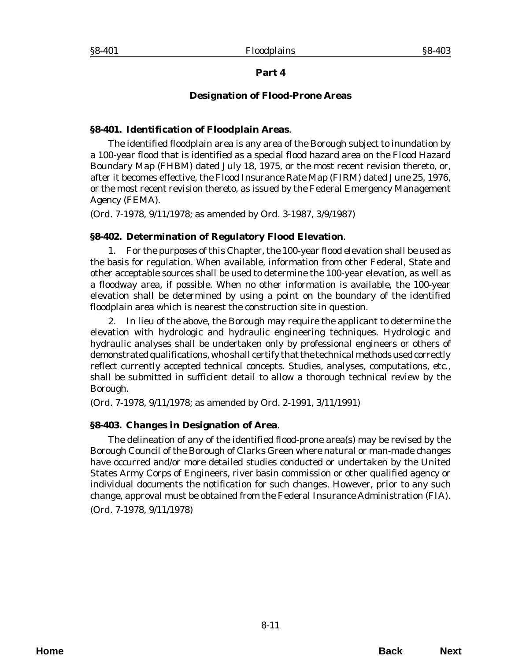## **Designation of Flood-Prone Areas**

### <span id="page-10-0"></span>**§8-401. Identification of Floodplain Areas**.

The identified floodplain area is any area of the Borough subject to inundation by a 100-year flood that is identified as a special flood hazard area on the Flood Hazard Boundary Map (FHBM) dated July 18, 1975, or the most recent revision thereto, or, after it becomes effective, the Flood Insurance Rate Map (FIRM) dated June 25, 1976, or the most recent revision thereto, as issued by the Federal Emergency Management Agency (FEMA).

(*Ord. 7-1978*, 9/11/1978; as amended by *Ord. 3-1987*, 3/9/1987)

## **§8-402. Determination of Regulatory Flood Elevation**.

1. For the purposes of this Chapter, the 100-year flood elevation shall be used as the basis for regulation. When available, information from other Federal, State and other acceptable sources shall be used to determine the 100-year elevation, as well as a floodway area, if possible. When no other information is available, the 100-year elevation shall be determined by using a point on the boundary of the identified floodplain area which is nearest the construction site in question.

2. In lieu of the above, the Borough may require the applicant to determine the elevation with hydrologic and hydraulic engineering techniques. Hydrologic and hydraulic analyses shall be undertaken only by professional engineers or others of demonstrated qualifications, who shall certify that the technical methods used correctly reflect currently accepted technical concepts. Studies, analyses, computations, etc., shall be submitted in sufficient detail to allow a thorough technical review by the Borough.

(*Ord. 7-1978*, 9/11/1978; as amended by *Ord. 2-1991*, 3/11/1991)

## **§8-403. Changes in Designation of Area**.

The delineation of any of the identified flood-prone area(s) may be revised by the Borough Council of the Borough of Clarks Green where natural or man-made changes have occurred and/or more detailed studies conducted or undertaken by the United States Army Corps of Engineers, river basin commission or other qualified agency or individual documents the notification for such changes. However, prior to any such change, approval must be obtained from the Federal Insurance Administration (FIA). (*Ord. 7-1978*, 9/11/1978)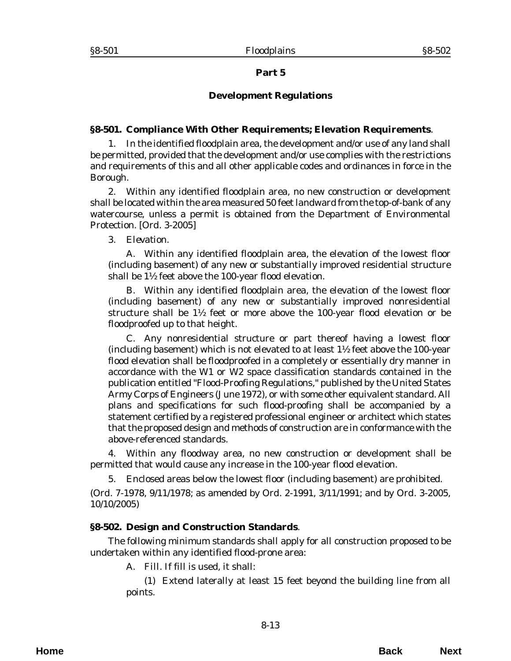## **Development Regulations**

### <span id="page-12-0"></span>**§8-501. Compliance With Other Requirements; Elevation Requirements**.

1. In the identified floodplain area, the development and/or use of any land shall be permitted, provided that the development and/or use complies with the restrictions and requirements of this and all other applicable codes and ordinances in force in the Borough.

2. Within any identified floodplain area, no new construction or development shall be located within the area measured 50 feet landward from the top-of-bank of any watercourse, unless a permit is obtained from the Department of Environmental Protection. [*Ord. 3-2005*]

#### 3. *Elevation*.

A. Within any identified floodplain area, the elevation of the lowest floor (including basement) of any new or substantially improved residential structure shall be 1½ feet above the 100-year flood elevation.

B. Within any identified floodplain area, the elevation of the lowest floor (including basement) of any new or substantially improved nonresidential structure shall be  $1\frac{1}{2}$  feet or more above the 100-year flood elevation or be floodproofed up to that height.

C. Any nonresidential structure or part thereof having a lowest floor (including basement) which is not elevated to at least 1½ feet above the 100-year flood elevation shall be floodproofed in a completely or essentially dry manner in accordance with the W1 or W2 space classification standards contained in the publication entitled "Flood-Proofing Regulations," published by the United States Army Corps of Engineers (June 1972), or with some other equivalent standard. All plans and specifications for such flood-proofing shall be accompanied by a statement certified by a registered professional engineer or architect which states that the proposed design and methods of construction are in conformance with the above-referenced standards.

4. Within any floodway area, no new construction or development shall be permitted that would cause any increase in the 100-year flood elevation.

5. Enclosed areas below the lowest floor (including basement) are prohibited.

(*Ord. 7-1978*, 9/11/1978; as amended by *Ord. 2-1991*, 3/11/1991; and by *Ord. 3-2005*, 10/10/2005)

## **§8-502. Design and Construction Standards**.

The following minimum standards shall apply for all construction proposed to be undertaken within any identified flood-prone area:

A. *Fill*. If fill is used, it shall:

(1) Extend laterally at least 15 feet beyond the building line from all points.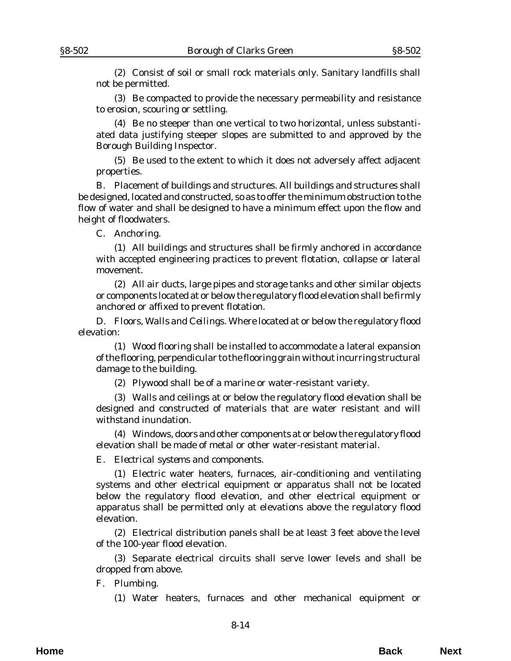(2) Consist of soil or small rock materials only. Sanitary landfills shall not be permitted.

(3) Be compacted to provide the necessary permeability and resistance to erosion, scouring or settling.

(4) Be no steeper than one vertical to two horizontal, unless substantiated data justifying steeper slopes are submitted to and approved by the Borough Building Inspector.

(5) Be used to the extent to which it does not adversely affect adjacent properties.

B. Placement of buildings and structures. All buildings and structures shall be designed, located and constructed, so as to offer the minimum obstruction to the flow of water and shall be designed to have a minimum effect upon the flow and height of floodwaters.

C. *Anchoring*.

(1) All buildings and structures shall be firmly anchored in accordance with accepted engineering practices to prevent flotation, collapse or lateral movement.

(2) All air ducts, large pipes and storage tanks and other similar objects or components located at or below the regulatory flood elevation shall be firmly anchored or affixed to prevent flotation.

D. *Floors, Walls and Ceilings*. Where located at or below the regulatory flood elevation:

(1) Wood flooring shall be installed to accommodate a lateral expansion of the flooring, perpendicular to the flooring grain without incurring structural damage to the building.

(2) Plywood shall be of a marine or water-resistant variety.

(3) Walls and ceilings at or below the regulatory flood elevation shall be designed and constructed of materials that are water resistant and will withstand inundation.

(4) Windows, doors and other components at or below the regulatory flood elevation shall be made of metal or other water-resistant material.

E. *Electrical systems and components*.

(1) Electric water heaters, furnaces, air-conditioning and ventilating systems and other electrical equipment or apparatus shall not be located below the regulatory flood elevation, and other electrical equipment or apparatus shall be permitted only at elevations above the regulatory flood elevation.

(2) Electrical distribution panels shall be at least 3 feet above the level of the 100-year flood elevation.

(3) Separate electrical circuits shall serve lower levels and shall be dropped from above.

F. *Plumbing*.

(1) Water heaters, furnaces and other mechanical equipment or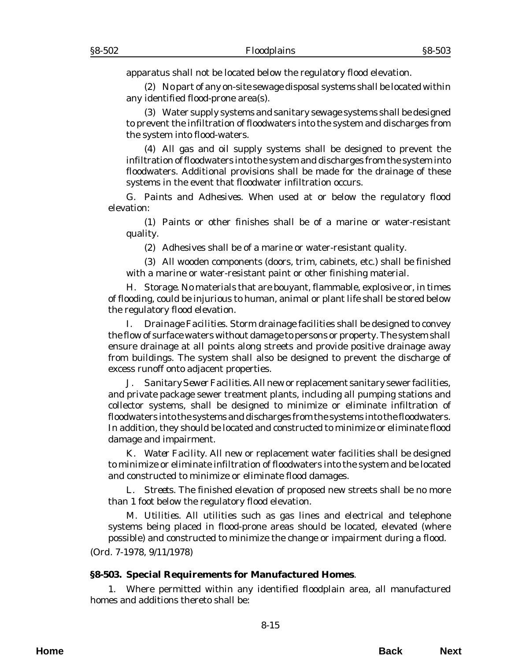<span id="page-14-0"></span>apparatus shall not be located below the regulatory flood elevation.

(2) No part of any on-site sewage disposal systems shall be located within any identified flood-prone area(s).

(3) Water supply systems and sanitary sewage systems shall be designed to prevent the infiltration of floodwaters into the system and discharges from the system into flood-waters.

(4) All gas and oil supply systems shall be designed to prevent the infiltration of floodwaters into the system and discharges from the system into floodwaters. Additional provisions shall be made for the drainage of these systems in the event that floodwater infiltration occurs.

G. *Paints and Adhesives*. When used at or below the regulatory flood elevation:

(1) Paints or other finishes shall be of a marine or water-resistant quality.

(2) Adhesives shall be of a marine or water-resistant quality.

(3) All wooden components (doors, trim, cabinets, etc.) shall be finished with a marine or water-resistant paint or other finishing material.

H. *Storage*. No materials that are bouyant, flammable, explosive or, in times of flooding, could be injurious to human, animal or plant life shall be stored below the regulatory flood elevation.

I. *Drainage Facilities*. Storm drainage facilities shall be designed to convey the flow of surface waters without damage to persons or property. The system shall ensure drainage at all points along streets and provide positive drainage away from buildings. The system shall also be designed to prevent the discharge of excess runoff onto adjacent properties.

J. *Sanitary Sewer Facilities*. All new or replacement sanitary sewer facilities, and private package sewer treatment plants, including all pumping stations and collector systems, shall be designed to minimize or eliminate infiltration of floodwaters into the systems and discharges from the systems into the floodwaters. In addition, they should be located and constructed to minimize or eliminate flood damage and impairment.

K. *Water Facility.* All new or replacement water facilities shall be designed to minimize or eliminate infiltration of floodwaters into the system and be located and constructed to minimize or eliminate flood damages.

L. *Streets*. The finished elevation of proposed new streets shall be no more than 1 foot below the regulatory flood elevation.

M. *Utilities*. All utilities such as gas lines and electrical and telephone systems being placed in flood-prone areas should be located, elevated (where possible) and constructed to minimize the change or impairment during a flood.

(*Ord. 7-1978*, 9/11/1978)

## **§8-503. Special Requirements for Manufactured Homes**.

1. Where permitted within any identified floodplain area, all manufactured homes and additions thereto shall be: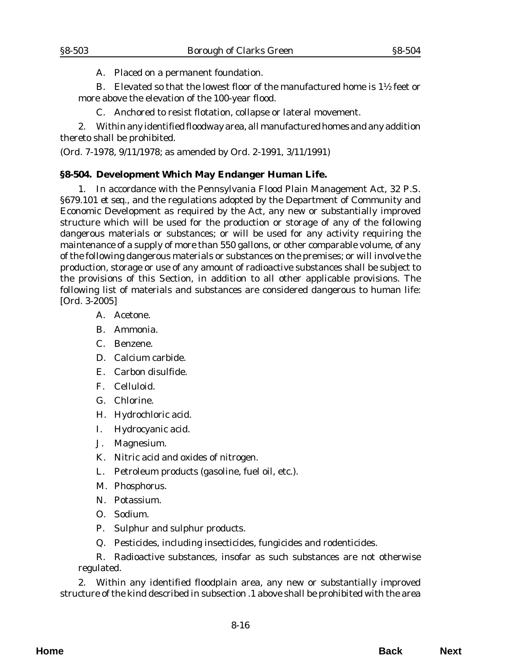A. Placed on a permanent foundation.

<span id="page-15-0"></span>B. Elevated so that the lowest floor of the manufactured home is  $1\frac{1}{2}$  feet or more above the elevation of the 100-year flood.

C. Anchored to resist flotation, collapse or lateral movement.

2. Within any identified floodway area, all manufactured homes and any addition thereto shall be prohibited.

(*Ord. 7-1978*, 9/11/1978; as amended by *Ord. 2-1991*, 3/11/1991)

## **§8-504. Development Which May Endanger Human Life.**

1. In accordance with the Pennsylvania Flood Plain Management Act, 32 P.S. §679.101 *et seq.*, and the regulations adopted by the Department of Community and Economic Development as required by the Act, any new or substantially improved structure which will be used for the production or storage of any of the following dangerous materials or substances; or will be used for any activity requiring the maintenance of a supply of more than 550 gallons, or other comparable volume, of any of the following dangerous materials or substances on the premises; or will involve the production, storage or use of any amount of radioactive substances shall be subject to the provisions of this Section, in addition to all other applicable provisions. The following list of materials and substances are considered dangerous to human life: [*Ord. 3-2005*]

- A. Acetone.
- B. Ammonia.
- C. Benzene.
- D. Calcium carbide.
- E. Carbon disulfide.
- F. Celluloid.
- G. Chlorine.
- H. Hydrochloric acid.
- I. Hydrocyanic acid.
- J. Magnesium.
- K. Nitric acid and oxides of nitrogen.
- L. Petroleum products (gasoline, fuel oil, etc.).
- M. Phosphorus.
- N. Potassium.
- O. Sodium.
- P. Sulphur and sulphur products.
- Q. Pesticides, including insecticides, fungicides and rodenticides.

R. Radioactive substances, insofar as such substances are not otherwise regulated.

2. Within any identified floodplain area, any new or substantially improved structure of the kind described in subsection .1 above shall be prohibited with the area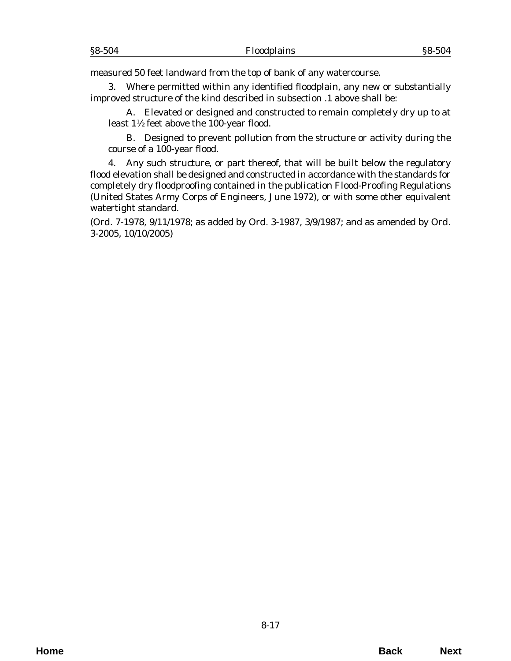measured 50 feet landward from the top of bank of any watercourse.

3. Where permitted within any identified floodplain, any new or substantially improved structure of the kind described in subsection .1 above shall be:

A. Elevated or designed and constructed to remain completely dry up to at least 1½ feet above the 100-year flood.

B. Designed to prevent pollution from the structure or activity during the course of a 100-year flood.

4. Any such structure, or part thereof, that will be built below the regulatory flood elevation shall be designed and constructed in accordance with the standards for completely dry floodproofing contained in the publication Flood-Proofing Regulations (United States Army Corps of Engineers, June 1972), or with some other equivalent watertight standard.

(*Ord. 7-1978*, 9/11/1978; as added by *Ord. 3-1987*, 3/9/1987; and as amended by *Ord. 3-2005*, 10/10/2005)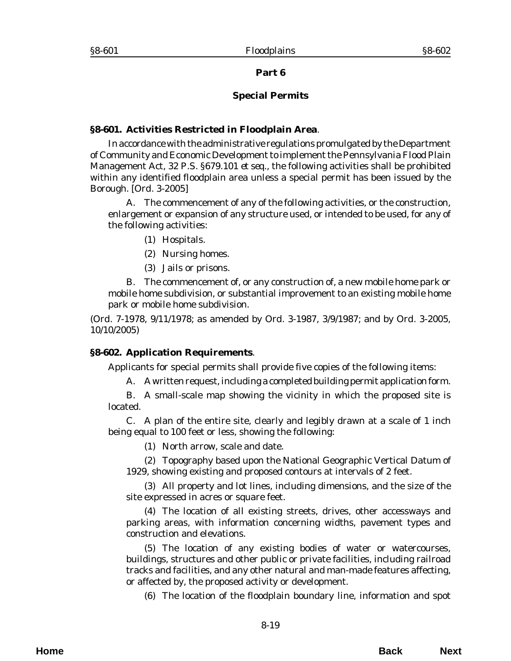#### **Special Permits**

#### <span id="page-18-0"></span>**§8-601. Activities Restricted in Floodplain Area**.

In accordance with the administrative regulations promulgated by the Department of Community and Economic Development to implement the Pennsylvania Flood Plain Management Act, 32 P.S. §679.101 *et seq.*, the following activities shall be prohibited within any identified floodplain area unless a special permit has been issued by the Borough. [*Ord. 3-2005*]

A. The commencement of any of the following activities, or the construction, enlargement or expansion of any structure used, or intended to be used, for any of the following activities:

- (1) Hospitals.
- (2) Nursing homes.
- (3) Jails or prisons.

B. The commencement of, or any construction of, a new mobile home park or mobile home subdivision, or substantial improvement to an existing mobile home park or mobile home subdivision.

(*Ord. 7-1978*, 9/11/1978; as amended by *Ord. 3-1987*, 3/9/1987; and by *Ord. 3-2005*, 10/10/2005)

#### **§8-602. Application Requirements**.

Applicants for special permits shall provide five copies of the following items:

A. A written request, including a completed building permit application form.

B. A small-scale map showing the vicinity in which the proposed site is located.

C. A plan of the entire site, clearly and legibly drawn at a scale of 1 inch being equal to 100 feet or less, showing the following:

(1) North arrow, scale and date.

(2) Topography based upon the National Geographic Vertical Datum of 1929, showing existing and proposed contours at intervals of 2 feet.

(3) All property and lot lines, including dimensions, and the size of the site expressed in acres or square feet.

(4) The location of all existing streets, drives, other accessways and parking areas, with information concerning widths, pavement types and construction and elevations.

(5) The location of any existing bodies of water or watercourses, buildings, structures and other public or private facilities, including railroad tracks and facilities, and any other natural and man-made features affecting, or affected by, the proposed activity or development.

(6) The location of the floodplain boundary line, information and spot

**Home Back Next**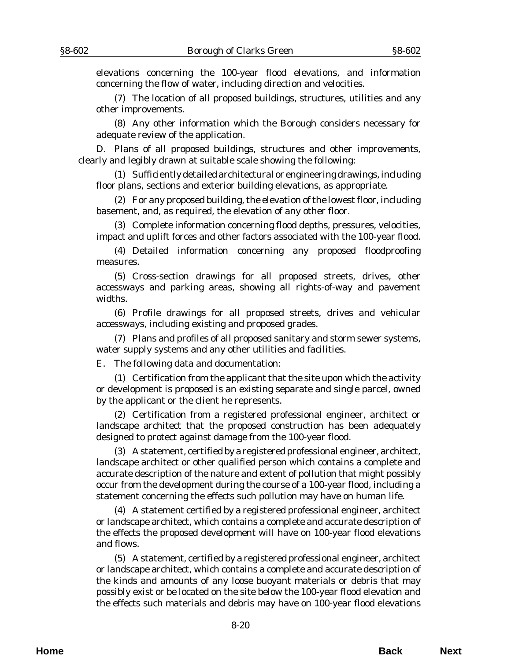elevations concerning the 100-year flood elevations, and information concerning the flow of water, including direction and velocities.

(7) The location of all proposed buildings, structures, utilities and any other improvements.

(8) Any other information which the Borough considers necessary for adequate review of the application.

D. Plans of all proposed buildings, structures and other improvements, clearly and legibly drawn at suitable scale showing the following:

(1) Sufficiently detailed architectural or engineering drawings, including floor plans, sections and exterior building elevations, as appropriate.

(2) For any proposed building, the elevation of the lowest floor, including basement, and, as required, the elevation of any other floor.

(3) Complete information concerning flood depths, pressures, velocities, impact and uplift forces and other factors associated with the 100-year flood.

(4) Detailed information concerning any proposed floodproofing measures.

(5) Cross-section drawings for all proposed streets, drives, other accessways and parking areas, showing all rights-of-way and pavement widths.

(6) Profile drawings for all proposed streets, drives and vehicular accessways, including existing and proposed grades.

(7) Plans and profiles of all proposed sanitary and storm sewer systems, water supply systems and any other utilities and facilities.

E. The following data and documentation:

(1) Certification from the applicant that the site upon which the activity or development is proposed is an existing separate and single parcel, owned by the applicant or the client he represents.

(2) Certification from a registered professional engineer, architect or landscape architect that the proposed construction has been adequately designed to protect against damage from the 100-year flood.

(3) A statement, certified by a registered professional engineer, architect, landscape architect or other qualified person which contains a complete and accurate description of the nature and extent of pollution that might possibly occur from the development during the course of a 100-year flood, including a statement concerning the effects such pollution may have on human life.

(4) A statement certified by a registered professional engineer, architect or landscape architect, which contains a complete and accurate description of the effects the proposed development will have on 100-year flood elevations and flows.

(5) A statement, certified by a registered professional engineer, architect or landscape architect, which contains a complete and accurate description of the kinds and amounts of any loose buoyant materials or debris that may possibly exist or be located on the site below the 100-year flood elevation and the effects such materials and debris may have on 100-year flood elevations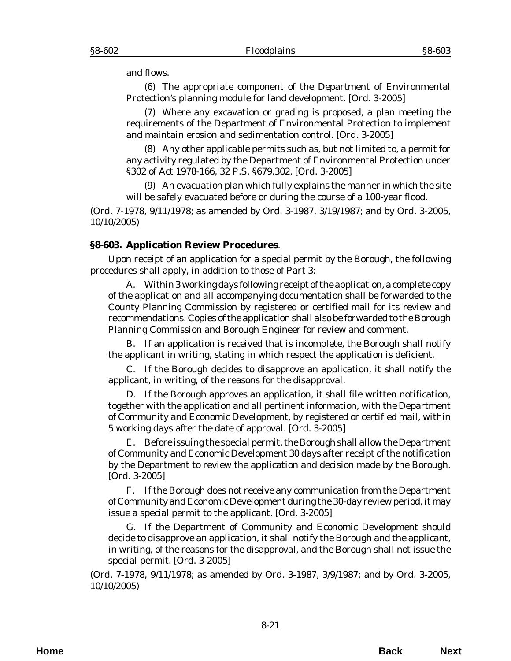<span id="page-20-0"></span>and flows.

(6) The appropriate component of the Department of Environmental Protection's planning module for land development. [*Ord. 3-2005*]

(7) Where any excavation or grading is proposed, a plan meeting the requirements of the Department of Environmental Protection to implement and maintain erosion and sedimentation control. [*Ord. 3-2005*]

(8) Any other applicable permits such as, but not limited to, a permit for any activity regulated by the Department of Environmental Protection under §302 of Act 1978-166, 32 P.S. §679.302. [*Ord. 3-2005*]

(9) An evacuation plan which fully explains the manner in which the site will be safely evacuated before or during the course of a 100-year flood.

(*Ord. 7-1978*, 9/11/1978; as amended by *Ord. 3-1987*, 3/19/1987; and by *Ord. 3-2005*, 10/10/2005)

## **§8-603. Application Review Procedures**.

Upon receipt of an application for a special permit by the Borough, the following procedures shall apply, in addition to those of Part 3:

A. Within 3 working days following receipt of the application, a complete copy of the application and all accompanying documentation shall be forwarded to the County Planning Commission by registered or certified mail for its review and recommendations. Copies of the application shall also be forwarded to the Borough Planning Commission and Borough Engineer for review and comment.

B. If an application is received that is incomplete, the Borough shall notify the applicant in writing, stating in which respect the application is deficient.

C. If the Borough decides to disapprove an application, it shall notify the applicant, in writing, of the reasons for the disapproval.

D. If the Borough approves an application, it shall file written notification, together with the application and all pertinent information, with the Department of Community and Economic Development, by registered or certified mail, within 5 working days after the date of approval. [*Ord. 3-2005*]

E. Before issuing the special permit, the Borough shall allow the Department of Community and Economic Development 30 days after receipt of the notification by the Department to review the application and decision made by the Borough. [*Ord. 3-2005*]

F. If the Borough does not receive any communication from the Department of Community and Economic Development during the 30-day review period, it may issue a special permit to the applicant. [*Ord. 3-2005*]

G. If the Department of Community and Economic Development should decide to disapprove an application, it shall notify the Borough and the applicant, in writing, of the reasons for the disapproval, and the Borough shall not issue the special permit. [*Ord. 3-2005*]

(*Ord. 7-1978*, 9/11/1978; as amended by *Ord. 3-1987*, 3/9/1987; and by *Ord. 3-2005*, 10/10/2005)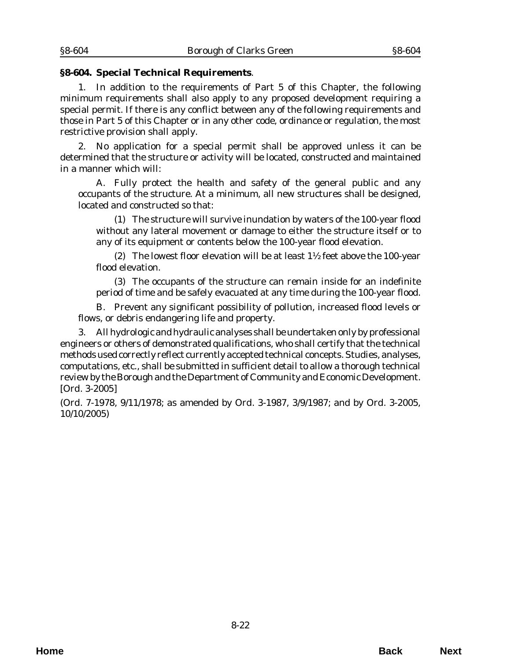#### <span id="page-21-0"></span>**§8-604. Special Technical Requirements**.

1. In addition to the requirements of Part 5 of this Chapter, the following minimum requirements shall also apply to any proposed development requiring a special permit. If there is any conflict between any of the following requirements and those in Part 5 of this Chapter or in any other code, ordinance or regulation, the most restrictive provision shall apply.

2. No application for a special permit shall be approved unless it can be determined that the structure or activity will be located, constructed and maintained in a manner which will:

A. Fully protect the health and safety of the general public and any occupants of the structure. At a minimum, all new structures shall be designed, located and constructed so that:

(1) The structure will survive inundation by waters of the 100-year flood without any lateral movement or damage to either the structure itself or to any of its equipment or contents below the 100-year flood elevation.

(2) The lowest floor elevation will be at least 1½ feet above the 100-year flood elevation.

(3) The occupants of the structure can remain inside for an indefinite period of time and be safely evacuated at any time during the 100-year flood.

B. Prevent any significant possibility of pollution, increased flood levels or flows, or debris endangering life and property.

3. All hydrologic and hydraulic analyses shall be undertaken only by professional engineers or others of demonstrated qualifications, who shall certify that the technical methods used correctly reflect currently accepted technical concepts. Studies, analyses, computations, etc., shall be submitted in sufficient detail to allow a thorough technical review by the Borough and the Department of Community and Economic Development. [*Ord. 3-2005*]

(*Ord. 7-1978*, 9/11/1978; as amended by *Ord. 3-1987*, 3/9/1987; and by *Ord. 3-2005*, 10/10/2005)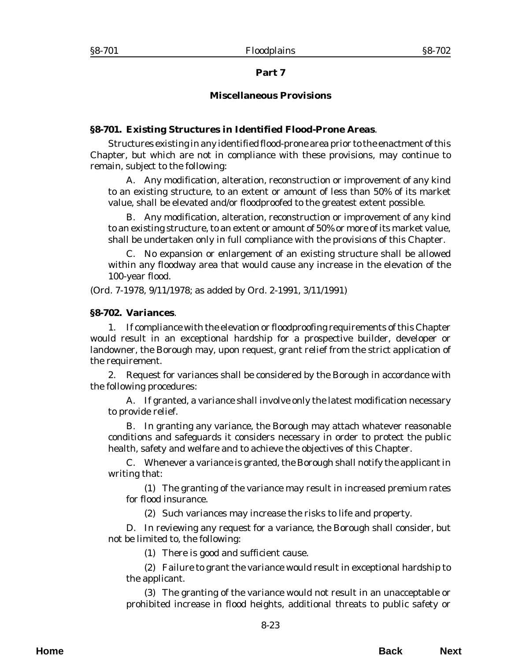### **Miscellaneous Provisions**

### <span id="page-22-0"></span>**§8-701. Existing Structures in Identified Flood-Prone Areas**.

Structures existing in any identified flood-prone area prior to the enactment of this Chapter, but which are not in compliance with these provisions, may continue to remain, subject to the following:

A. Any modification, alteration, reconstruction or improvement of any kind to an existing structure, to an extent or amount of less than 50% of its market value, shall be elevated and/or floodproofed to the greatest extent possible.

B. Any modification, alteration, reconstruction or improvement of any kind to an existing structure, to an extent or amount of 50% or more of its market value, shall be undertaken only in full compliance with the provisions of this Chapter.

C. No expansion or enlargement of an existing structure shall be allowed within any floodway area that would cause any increase in the elevation of the 100-year flood.

(*Ord. 7-1978*, 9/11/1978; as added by *Ord. 2-1991*, 3/11/1991)

#### **§8-702. Variances**.

1. If compliance with the elevation or floodproofing requirements of this Chapter would result in an exceptional hardship for a prospective builder, developer or landowner, the Borough may, upon request, grant relief from the strict application of the requirement.

2. Request for variances shall be considered by the Borough in accordance with the following procedures:

A. If granted, a variance shall involve only the latest modification necessary to provide relief.

B. In granting any variance, the Borough may attach whatever reasonable conditions and safeguards it considers necessary in order to protect the public health, safety and welfare and to achieve the objectives of this Chapter.

C. Whenever a variance is granted, the Borough shall notify the applicant in writing that:

(1) The granting of the variance may result in increased premium rates for flood insurance.

(2) Such variances may increase the risks to life and property.

D. In reviewing any request for a variance, the Borough shall consider, but not be limited to, the following:

(1) There is good and sufficient cause.

(2) Failure to grant the variance would result in exceptional hardship to the applicant.

(3) The granting of the variance would not result in an unacceptable or prohibited increase in flood heights, additional threats to public safety or